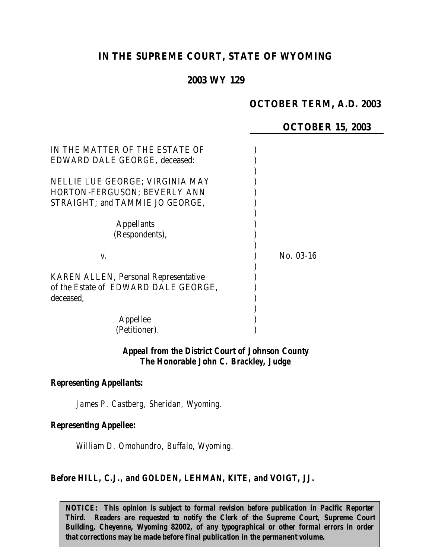# **IN THE SUPREME COURT, STATE OF WYOMING**

# **2003 WY 129**

# **OCTOBER TERM, A.D. 2003**

### **OCTOBER 15, 2003**

| IN THE MATTER OF THE ESTATE OF              |             |
|---------------------------------------------|-------------|
| EDWARD DALE GEORGE, deceased:               |             |
|                                             |             |
| NELLIE LUE GEORGE; VIRGINIA MAY             |             |
| HORTON-FERGUSON; BEVERLY ANN                |             |
| STRAIGHT; and TAMMIE JO GEORGE,             |             |
|                                             |             |
| <b>Appellants</b>                           |             |
| (Respondents),                              |             |
|                                             |             |
| V.                                          | $No. 03-16$ |
|                                             |             |
| <b>KAREN ALLEN, Personal Representative</b> |             |
| of the Estate of EDWARD DALE GEORGE.        |             |
| deceased,                                   |             |
|                                             |             |
| Appellee                                    |             |
| (Petitioner).                               |             |

#### *Appeal from the District Court of Johnson County The Honorable John C. Brackley, Judge*

### *Representing Appellants:*

*James P. Castberg, Sheridan, Wyoming.*

#### *Representing Appellee:*

*William D. Omohundro, Buffalo, Wyoming.*

#### *Before HILL, C.J., and GOLDEN, LEHMAN, KITE, and VOIGT, JJ.*

*NOTICE: This opinion is subject to formal revision before publication in Pacific Reporter Third. Readers are requested to notify the Clerk of the Supreme Court, Supreme Court* Building, Cheyenne, Wyoming 82002, of any typographical or other formal errors in order *that corrections may be made before final publication in the permanent volume.*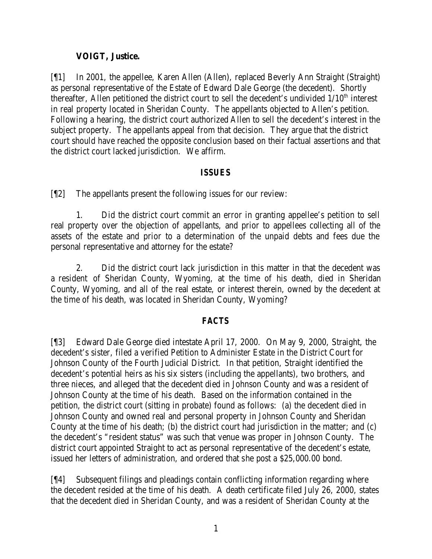# **VOIGT, Justice.**

[¶1] In 2001, the appellee, Karen Allen (Allen), replaced Beverly Ann Straight (Straight) as personal representative of the Estate of Edward Dale George (the decedent). Shortly thereafter, Allen petitioned the district court to sell the decedent's undivided  $1/10<sup>th</sup>$  interest in real property located in Sheridan County. The appellants objected to Allen's petition. Following a hearing, the district court authorized Allen to sell the decedent's interest in the subject property. The appellants appeal from that decision. They argue that the district court should have reached the opposite conclusion based on their factual assertions and that the district court lacked jurisdiction. We affirm.

# *ISSUES*

[¶2] The appellants present the following issues for our review:

1. Did the district court commit an error in granting appellee's petition to sell real property over the objection of appellants, and prior to appellees collecting all of the assets of the estate and prior to a determination of the unpaid debts and fees due the personal representative and attorney for the estate?

2. Did the district court lack jurisdiction in this matter in that the decedent was a resident of Sheridan County, Wyoming, at the time of his death, died in Sheridan County, Wyoming, and all of the real estate, or interest therein, owned by the decedent at the time of his death, was located in Sheridan County, Wyoming?

# *FACTS*

[¶3] Edward Dale George died intestate April 17, 2000. On May 9, 2000, Straight, the decedent's sister, filed a verified Petition to Administer Estate in the District Court for Johnson County of the Fourth Judicial District. In that petition, Straight identified the decedent's potential heirs as his six sisters (including the appellants), two brothers, and three nieces, and alleged that the decedent died in Johnson County and was a resident of Johnson County at the time of his death. Based on the information contained in the petition, the district court (sitting in probate) found as follows: (a) the decedent died in Johnson County and owned real and personal property in Johnson County and Sheridan County at the time of his death; (b) the district court had jurisdiction in the matter; and (c) the decedent's "resident status" was such that venue was proper in Johnson County. The district court appointed Straight to act as personal representative of the decedent's estate, issued her letters of administration, and ordered that she post a \$25,000.00 bond.

[¶4] Subsequent filings and pleadings contain conflicting information regarding where the decedent resided at the time of his death. A death certificate filed July 26, 2000, states that the decedent died in Sheridan County, and was a resident of Sheridan County at the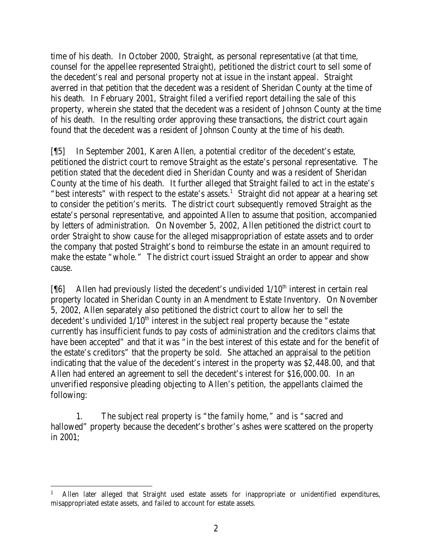time of his death. In October 2000, Straight, as personal representative (at that time, counsel for the appellee represented Straight), petitioned the district court to sell some of the decedent's real and personal property not at issue in the instant appeal. Straight averred in that petition that the decedent was a resident of Sheridan County at the time of his death. In February 2001, Straight filed a verified report detailing the sale of this property, wherein she stated that the decedent was a resident of Johnson County at the time of his death. In the resulting order approving these transactions, the district court again found that the decedent was a resident of Johnson County at the time of his death.

[¶5] In September 2001, Karen Allen, a potential creditor of the decedent's estate, petitioned the district court to remove Straight as the estate's personal representative. The petition stated that the decedent died in Sheridan County and was a resident of Sheridan County at the time of his death. It further alleged that Straight failed to act in the estate's "best interests" with respect to the estate's assets.<sup>1</sup> Straight did not appear at a hearing set to consider the petition's merits. The district court subsequently removed Straight as the estate's personal representative, and appointed Allen to assume that position, accompanied by letters of administration. On November 5, 2002, Allen petitioned the district court to order Straight to show cause for the alleged misappropriation of estate assets and to order the company that posted Straight's bond to reimburse the estate in an amount required to make the estate "whole." The district court issued Straight an order to appear and show cause.

[ $[$ 6] Allen had previously listed the decedent's undivided  $1/10<sup>th</sup>$  interest in certain real property located in Sheridan County in an Amendment to Estate Inventory. On November 5, 2002, Allen separately also petitioned the district court to allow her to sell the decedent's undivided  $1/10<sup>th</sup>$  interest in the subject real property because the "estate currently has insufficient funds to pay costs of administration and the creditors claims that have been accepted" and that it was "in the best interest of this estate and for the benefit of the estate's creditors" that the property be sold. She attached an appraisal to the petition indicating that the value of the decedent's interest in the property was \$2,448.00, and that Allen had entered an agreement to sell the decedent's interest for \$16,000.00. In an unverified responsive pleading objecting to Allen's petition, the appellants claimed the following:

1. The subject real property is "the family home," and is "sacred and hallowed" property because the decedent's brother's ashes were scattered on the property in 2001;

 1 Allen later alleged that Straight used estate assets for inappropriate or unidentified expenditures, misappropriated estate assets, and failed to account for estate assets.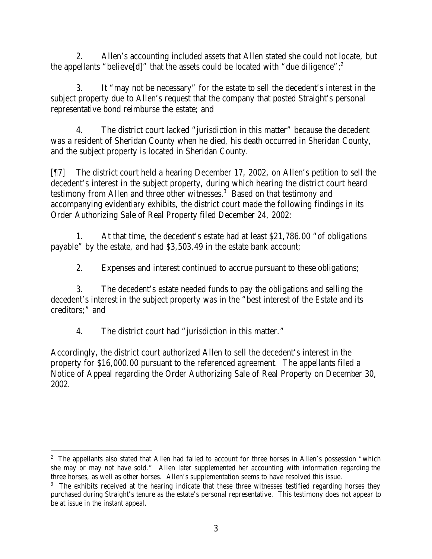2. Allen's accounting included assets that Allen stated she could not locate, but the appellants "believe[d]" that the assets could be located with "due diligence";  $\frac{2}{3}$ 

3. It "may not be necessary" for the estate to sell the decedent's interest in the subject property due to Allen's request that the company that posted Straight's personal representative bond reimburse the estate; and

4. The district court lacked "jurisdiction in this matter" because the decedent was a resident of Sheridan County when he died, his death occurred in Sheridan County, and the subject property is located in Sheridan County.

[¶7] The district court held a hearing December 17, 2002, on Allen's petition to sell the decedent's interest in the subject property, during which hearing the district court heard testimony from Allen and three other witnesses.<sup>3</sup> Based on that testimony and accompanying evidentiary exhibits, the district court made the following findings in its Order Authorizing Sale of Real Property filed December 24, 2002:

1. At that time, the decedent's estate had at least \$21,786.00 "of obligations payable" by the estate, and had \$3,503.49 in the estate bank account;

2. Expenses and interest continued to accrue pursuant to these obligations;

3. The decedent's estate needed funds to pay the obligations and selling the decedent's interest in the subject property was in the "best interest of the Estate and its creditors;" and

4. The district court had "jurisdiction in this matter."

Accordingly, the district court authorized Allen to sell the decedent's interest in the property for \$16,000.00 pursuant to the referenced agreement. The appellants filed a Notice of Appeal regarding the Order Authorizing Sale of Real Property on December 30, 2002.

<sup>&</sup>lt;sup>2</sup> The appellants also stated that Allen had failed to account for three horses in Allen's possession "which she may or may not have sold." Allen later supplemented her accounting with information regarding the three horses, as well as other horses. Allen's supplementation seems to have resolved this issue.

<sup>&</sup>lt;sup>3</sup> The exhibits received at the hearing indicate that these three witnesses testified regarding horses they purchased during Straight's tenure as the estate's personal representative. This testimony does not appear to be at issue in the instant appeal.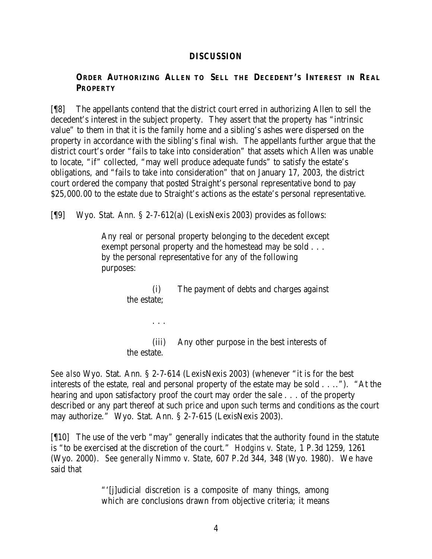### *DISCUSSION*

# **ORDER AUTHORIZING ALLEN TO SELL THE DECEDENT'S INTEREST IN REAL PROPERTY**

[¶8] The appellants contend that the district court erred in authorizing Allen to sell the decedent's interest in the subject property. They assert that the property has "intrinsic value" to them in that it is the family home and a sibling's ashes were dispersed on the property in accordance with the sibling's final wish. The appellants further argue that the district court's order "fails to take into consideration" that assets which Allen was unable to locate, "if" collected, "may well produce adequate funds" to satisfy the estate's obligations, and "fails to take into consideration" that on January 17, 2003, the district court ordered the company that posted Straight's personal representative bond to pay \$25,000.00 to the estate due to Straight's actions as the estate's personal representative.

[¶9] Wyo. Stat. Ann. § 2-7-612(a) (LexisNexis 2003) provides as follows:

. . .

Any real or personal property belonging to the decedent except exempt personal property and the homestead may be sold . . . by the personal representative for any of the following purposes:

> (i) The payment of debts and charges against the estate;

> (iii) Any other purpose in the best interests of the estate.

*See also* Wyo. Stat. Ann. § 2-7-614 (LexisNexis 2003) (whenever "it is for the best interests of the estate, real and personal property of the estate may be sold . . .."). "At the hearing and upon satisfactory proof the court may order the sale . . . of the property described or any part thereof at such price and upon such terms and conditions as the court may authorize." Wyo. Stat. Ann. § 2-7-615 (LexisNexis 2003).

[¶10] The use of the verb "may" generally indicates that the authority found in the statute is "to be exercised at the discretion of the court." *Hodgins v. State*, 1 P.3d 1259, 1261 (Wyo. 2000). *See generally Nimmo v. State*, 607 P.2d 344, 348 (Wyo. 1980). We have said that

> "'[j]udicial discretion is a composite of many things, among which are conclusions drawn from objective criteria; it means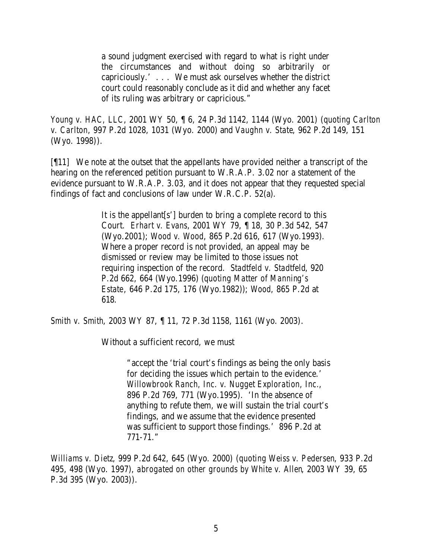a sound judgment exercised with regard to what is right under the circumstances and without doing so arbitrarily or capriciously.' . . . We must ask ourselves whether the district court could reasonably conclude as it did and whether any facet of its ruling was arbitrary or capricious."

*Young v. HAC, LLC*, 2001 WY 50, ¶ 6, 24 P.3d 1142, 1144 (Wyo. 2001) (*quoting Carlton v. Carlton*, 997 P.2d 1028, 1031 (Wyo. 2000) and *Vaughn v. State*, 962 P.2d 149, 151 (Wyo. 1998)).

[¶11] We note at the outset that the appellants have provided neither a transcript of the hearing on the referenced petition pursuant to W.R.A.P. 3.02 nor a statement of the evidence pursuant to W.R.A.P. 3.03, and it does not appear that they requested special findings of fact and conclusions of law under W.R.C.P. 52(a).

> It is the appellant[s'] burden to bring a complete record to this Court. *Erhart v. Evans*, 2001 WY 79, ¶ 18, 30 P.3d 542, 547 (Wyo.2001); *Wood v. Wood*, 865 P.2d 616, 617 (Wyo.1993). Where a proper record is not provided, an appeal may be dismissed or review may be limited to those issues not requiring inspection of the record. *Stadtfeld v. Stadtfeld*, 920 P.2d 662, 664 (Wyo.1996) (*quoting Matter of Manning's Estate*, 646 P.2d 175, 176 (Wyo.1982)); *Wood*, 865 P.2d at 618.

*Smith v. Smith*, 2003 WY 87, ¶ 11, 72 P.3d 1158, 1161 (Wyo. 2003).

Without a sufficient record, we must

"accept the 'trial court's findings as being the only basis for deciding the issues which pertain to the evidence.' *Willowbrook Ranch, Inc. v. Nugget Exploration, Inc.*, 896 P.2d 769, 771 (Wyo.1995). 'In the absence of anything to refute them, we will sustain the trial court's findings, and we assume that the evidence presented was sufficient to support those findings.' 896 P.2d at 771-71."

*Williams v. Dietz*, 999 P.2d 642, 645 (Wyo. 2000) (*quoting Weiss v. Pedersen*, 933 P.2d 495, 498 (Wyo. 1997), *abrogated on other grounds by White v. Allen*, 2003 WY 39, 65 P.3d 395 (Wyo. 2003)).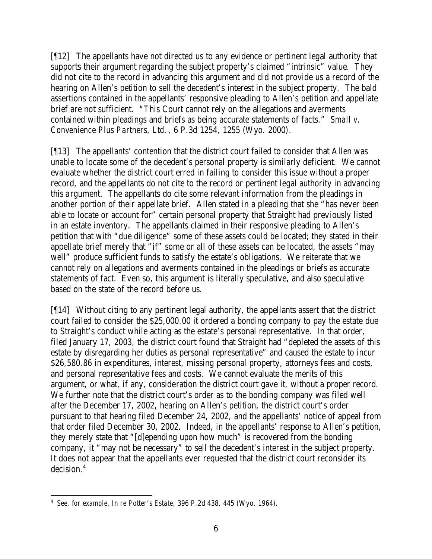[¶12] The appellants have not directed us to any evidence or pertinent legal authority that supports their argument regarding the subject property's claimed "intrinsic" value. They did not cite to the record in advancing this argument and did not provide us a record of the hearing on Allen's petition to sell the decedent's interest in the subject property. The bald assertions contained in the appellants' responsive pleading to Allen's petition and appellate brief are not sufficient. "This Court cannot rely on the allegations and averments contained within pleadings and briefs as being accurate statements of facts." *Small v. Convenience Plus Partners, Ltd.*, 6 P.3d 1254, 1255 (Wyo. 2000).

[¶13] The appellants' contention that the district court failed to consider that Allen was unable to locate some of the decedent's personal property is similarly deficient. We cannot evaluate whether the district court erred in failing to consider this issue without a proper record, and the appellants do not cite to the record or pertinent legal authority in advancing this argument. The appellants do cite some relevant information from the pleadings in another portion of their appellate brief. Allen stated in a pleading that she "has never been able to locate or account for" certain personal property that Straight had previously listed in an estate inventory. The appellants claimed in their responsive pleading to Allen's petition that with "due diligence" some of these assets could be located; they stated in their appellate brief merely that "if" some or all of these assets can be located, the assets "may well" produce sufficient funds to satisfy the estate's obligations. We reiterate that we cannot rely on allegations and averments contained in the pleadings or briefs as accurate statements of fact. Even so, this argument is literally speculative, and also speculative based on the state of the record before us.

[¶14] Without citing to any pertinent legal authority, the appellants assert that the district court failed to consider the \$25,000.00 it ordered a bonding company to pay the estate due to Straight's conduct while acting as the estate's personal representative. In that order, filed January 17, 2003, the district court found that Straight had "depleted the assets of this estate by disregarding her duties as personal representative" and caused the estate to incur \$26,580.86 in expenditures, interest, missing personal property, attorneys fees and costs, and personal representative fees and costs. We cannot evaluate the merits of this argument, or what, if any, consideration the district court gave it, without a proper record. We further note that the district court's order as to the bonding company was filed well after the December 17, 2002, hearing on Allen's petition, the district court's order pursuant to that hearing filed December 24, 2002, and the appellants' notice of appeal from that order filed December 30, 2002. Indeed, in the appellants' response to Allen's petition, they merely state that "[d]epending upon how much" is recovered from the bonding company, it "may not be necessary" to sell the decedent's interest in the subject property. It does not appear that the appellants ever requested that the district court reconsider its decision.<sup>4</sup>

 4 *See, for example, In re Potter's Estate*, 396 P.2d 438, 445 (Wyo. 1964).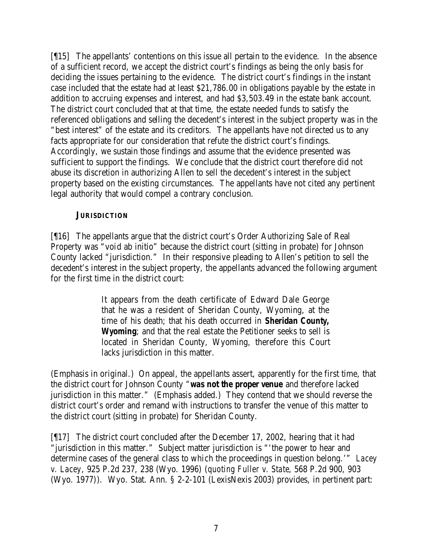[¶15] The appellants' contentions on this issue all pertain to the evidence. In the absence of a sufficient record, we accept the district court's findings as being the only basis for deciding the issues pertaining to the evidence. The district court's findings in the instant case included that the estate had at least \$21,786.00 in obligations payable by the estate in addition to accruing expenses and interest, and had \$3,503.49 in the estate bank account. The district court concluded that at that time, the estate needed funds to satisfy the referenced obligations and selling the decedent's interest in the subject property was in the "best interest" of the estate and its creditors. The appellants have not directed us to any facts appropriate for our consideration that refute the district court's findings. Accordingly, we sustain those findings and assume that the evidence presented was sufficient to support the findings. We conclude that the district court therefore did not abuse its discretion in authorizing Allen to sell the decedent's interest in the subject property based on the existing circumstances. The appellants have not cited any pertinent legal authority that would compel a contrary conclusion.

### **JURISDICTION**

[¶16] The appellants argue that the district court's Order Authorizing Sale of Real Property was "void ab initio" because the district court (sitting in probate) for Johnson County lacked "jurisdiction." In their responsive pleading to Allen's petition to sell the decedent's interest in the subject property, the appellants advanced the following argument for the first time in the district court:

> It appears from the death certificate of Edward Dale George that he was a resident of Sheridan County, Wyoming, at the time of his death; that his death occurred in *Sheridan County, Wyoming*; and that the real estate the Petitioner seeks to sell is located in Sheridan County, Wyoming, therefore this Court lacks jurisdiction in this matter.

(Emphasis in original.) On appeal, the appellants assert, apparently for the first time, that the district court for Johnson County "*was not the proper venue* and therefore lacked jurisdiction in this matter." (Emphasis added.) They contend that we should reverse the district court's order and remand with instructions to transfer the venue of this matter to the district court (sitting in probate) for Sheridan County.

[¶17] The district court concluded after the December 17, 2002, hearing that it had "jurisdiction in this matter." Subject matter jurisdiction is "'the power to hear and determine cases of the general class to which the proceedings in question belong.'" *Lacey v. Lacey*, 925 P.2d 237, 238 (Wyo. 1996) (*quoting Fuller v. State*, 568 P.2d 900, 903 (Wyo. 1977)). Wyo. Stat. Ann. § 2-2-101 (LexisNexis 2003) provides, in pertinent part: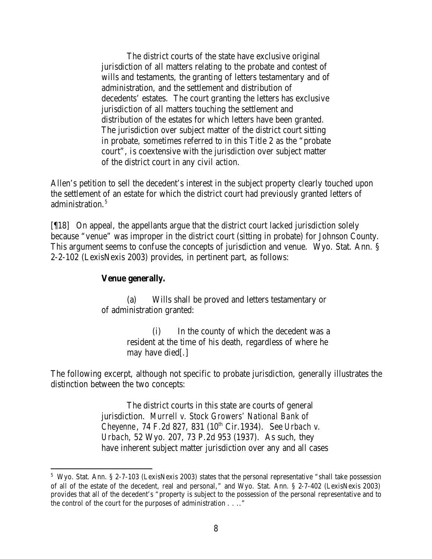The district courts of the state have exclusive original jurisdiction of all matters relating to the probate and contest of wills and testaments, the granting of letters testamentary and of administration, and the settlement and distribution of decedents' estates. The court granting the letters has exclusive jurisdiction of all matters touching the settlement and distribution of the estates for which letters have been granted. The jurisdiction over subject matter of the district court sitting in probate, sometimes referred to in this Title 2 as the "probate court", is coextensive with the jurisdiction over subject matter of the district court in any civil action.

Allen's petition to sell the decedent's interest in the subject property clearly touched upon the settlement of an estate for which the district court had previously granted letters of administration.<sup>5</sup>

[¶18] On appeal, the appellants argue that the district court lacked jurisdiction solely because "venue" was improper in the district court (sitting in probate) for Johnson County. This argument seems to confuse the concepts of jurisdiction and venue. Wyo. Stat. Ann. § 2-2-102 (LexisNexis 2003) provides, in pertinent part, as follows:

#### **Venue generally.**

(a) Wills shall be proved and letters testamentary or of administration granted:

> (i) In the county of which the decedent was a resident at the time of his death, regardless of where he may have died[.]

The following excerpt, although not specific to probate jurisdiction, generally illustrates the distinction between the two concepts:

> The district courts in this state are courts of general jurisdiction. *Murrell v. Stock Growers' National Bank of Cheyenne*, 74 F.2d 827, 831 (10<sup>th</sup> Cir.1934). See *Urbach v. Urbach*, 52 Wyo. 207, 73 P.2d 953 (1937). As such, they have inherent subject matter jurisdiction over any and all cases

<sup>&</sup>lt;sup>5</sup> Wyo. Stat. Ann. § 2-7-103 (LexisNexis 2003) states that the personal representative "shall take possession of all of the estate of the decedent, real and personal," and Wyo. Stat. Ann. § 2-7-402 (LexisNexis 2003) provides that all of the decedent's "property is subject to the possession of the personal representative and to the control of the court for the purposes of administration . . .."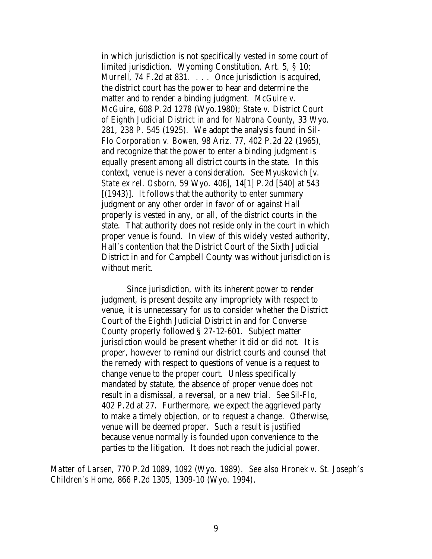in which jurisdiction is not specifically vested in some court of limited jurisdiction. Wyoming Constitution, Art. 5, § 10; *Murrell*, 74 F.2d at 831. . . . Once jurisdiction is acquired, the district court has the power to hear and determine the matter and to render a binding judgment. *McGuire v. McGuire*, 608 P.2d 1278 (Wyo.1980); *State v. District Court of Eighth Judicial District in and for Natrona County*, 33 Wyo. 281, 238 P. 545 (1925). We adopt the analysis found in *Sil-Flo Corporation v. Bowen*, 98 Ariz. 77, 402 P.2d 22 (1965), and recognize that the power to enter a binding judgment is equally present among all district courts in the state. In this context, venue is never a consideration. See *Myuskovich [v. State ex rel. Osborn*, 59 Wyo. 406], 14[1] P.2d [540] at 543 [(1943)]. It follows that the authority to enter summary judgment or any other order in favor of or against Hall properly is vested in any, or all, of the district courts in the state. That authority does not reside only in the court in which proper venue is found. In view of this widely vested authority, Hall's contention that the District Court of the Sixth Judicial District in and for Campbell County was without jurisdiction is without merit.

Since jurisdiction, with its inherent power to render judgment, is present despite any impropriety with respect to venue, it is unnecessary for us to consider whether the District Court of the Eighth Judicial District in and for Converse County properly followed § 27-12-601. Subject matter jurisdiction would be present whether it did or did not. It is proper, however to remind our district courts and counsel that the remedy with respect to questions of venue is a request to change venue to the proper court. Unless specifically mandated by statute, the absence of proper venue does not result in a dismissal, a reversal, or a new trial. See *Sil-Flo*, 402 P.2d at 27. Furthermore, we expect the aggrieved party to make a timely objection, or to request a change. Otherwise, venue will be deemed proper. Such a result is justified because venue normally is founded upon convenience to the parties to the litigation. It does not reach the judicial power.

*Matter of Larsen*, 770 P.2d 1089, 1092 (Wyo. 1989). *See also Hronek v. St. Joseph's Children's Home*, 866 P.2d 1305, 1309-10 (Wyo. 1994).